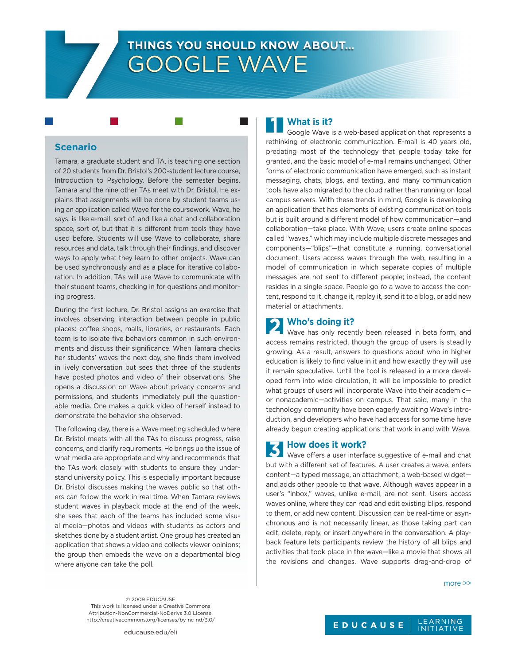# **THINGS YOU SHOULD KNOW ABOUT…** Google Wave

#### **Scenario**

Tamara, a graduate student and TA, is teaching one section of 20 students from Dr. Bristol's 200-student lecture course, Introduction to Psychology. Before the semester begins, Tamara and the nine other TAs meet with Dr. Bristol. He explains that assignments will be done by student teams using an application called Wave for the coursework. Wave, he says, is like e-mail, sort of, and like a chat and collaboration space, sort of, but that it is different from tools they have used before. Students will use Wave to collaborate, share resources and data, talk through their findings, and discover ways to apply what they learn to other projects. Wave can be used synchronously and as a place for iterative collaboration. In addition, TAs will use Wave to communicate with their student teams, checking in for questions and monitoring progress.

During the first lecture, Dr. Bristol assigns an exercise that involves observing interaction between people in public places: coffee shops, malls, libraries, or restaurants. Each team is to isolate five behaviors common in such environments and discuss their significance. When Tamara checks her students' waves the next day, she finds them involved in lively conversation but sees that three of the students have posted photos and video of their observations. She opens a discussion on Wave about privacy concerns and permissions, and students immediately pull the questionable media. One makes a quick video of herself instead to demonstrate the behavior she observed.

The following day, there is a Wave meeting scheduled where Dr. Bristol meets with all the TAs to discuss progress, raise concerns, and clarify requirements. He brings up the issue of what media are appropriate and why and recommends that the TAs work closely with students to ensure they understand university policy. This is especially important because Dr. Bristol discusses making the waves public so that others can follow the work in real time. When Tamara reviews student waves in playback mode at the end of the week, she sees that each of the teams has included some visual media—photos and videos with students as actors and sketches done by a student artist. One group has created an application that shows a video and collects viewer opinions; the group then embeds the wave on a departmental blog where anyone can take the poll.

## **What is it?**

Google Wave is a web-based application that represents a rethinking of electronic communication. E-mail is 40 years old, predating most of the technology that people today take for granted, and the basic model of e-mail remains unchanged. Other forms of electronic communication have emerged, such as instant messaging, chats, blogs, and texting, and many communication tools have also migrated to the cloud rather than running on local campus servers. With these trends in mind, Google is developing an application that has elements of existing communication tools but is built around a different model of how communication—and collaboration—take place. With Wave, users create online spaces called "waves," which may include multiple discrete messages and components—"blips"—that constitute a running, conversational document. Users access waves through the web, resulting in a model of communication in which separate copies of multiple messages are not sent to different people; instead, the content resides in a single space. People go *to* a wave to access the content, respond to it, change it, replay it, send it to a blog, or add new material or attachments.

# **Who's doing it?**

Wave has only recently been released in beta form, and access remains restricted, though the group of users is steadily growing. As a result, answers to questions about who in higher education is likely to find value in it and how exactly they will use it remain speculative. Until the tool is released in a more developed form into wide circulation, it will be impossible to predict what groups of users will incorporate Wave into their academicor nonacademic—activities on campus. That said, many in the technology community have been eagerly awaiting Wave's introduction, and developers who have had access for some time have already begun creating applications that work in and with Wave.

# **How does it work?**

Wave offers a user interface suggestive of e-mail and chat but with a different set of features. A user creates a wave, enters content—a typed message, an attachment, a web-based widget and adds other people to that wave. Although waves appear in a user's "inbox," waves, unlike e-mail, are not sent. Users access waves online, where they can read and edit existing blips, respond to them, or add new content. Discussion can be real-time or asynchronous and is not necessarily linear, as those taking part can edit, delete, reply, or insert anywhere in the conversation. A playback feature lets participants review the history of all blips and activities that took place in the wave—like a movie that shows all the revisions and changes. Wave supports drag-and-drop of

more >>

© 2009 EDUCAUSE This work is licensed under a Creative Commons Attribution-NonCommercial-NoDerivs 3.0 License. http://creativecommons.org/licenses/by-nc-nd/3.0/